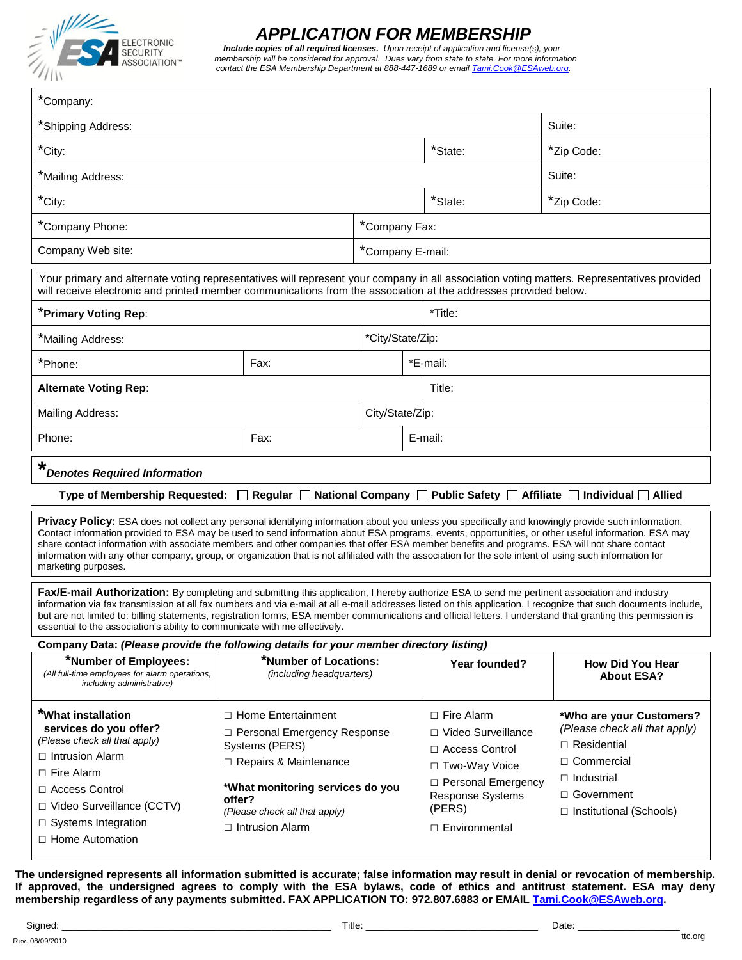

# *APPLICATION FOR MEMBERSHIP*

 *Include copies of all required licenses. Upon receipt of application and license(s), your membership will be considered for approval. Dues vary from state to state. For more information contact the ESA Membership Department at 888-447-1689 or emai[l Tami.Cook@ESAweb.org.](mailto:Tami.Cook@ESAweb.org)* 

| *Company:                                                                                                                                                                                                                                                                                                                                                                                                                                                                                                                                                                                                                                     |                                                                                                                                             |                  |                                                                                                               |                                                                                                                                           |  |  |  |  |
|-----------------------------------------------------------------------------------------------------------------------------------------------------------------------------------------------------------------------------------------------------------------------------------------------------------------------------------------------------------------------------------------------------------------------------------------------------------------------------------------------------------------------------------------------------------------------------------------------------------------------------------------------|---------------------------------------------------------------------------------------------------------------------------------------------|------------------|---------------------------------------------------------------------------------------------------------------|-------------------------------------------------------------------------------------------------------------------------------------------|--|--|--|--|
| *Shipping Address:                                                                                                                                                                                                                                                                                                                                                                                                                                                                                                                                                                                                                            | Suite:                                                                                                                                      |                  |                                                                                                               |                                                                                                                                           |  |  |  |  |
| *City:                                                                                                                                                                                                                                                                                                                                                                                                                                                                                                                                                                                                                                        |                                                                                                                                             | *State:          | *Zip Code:                                                                                                    |                                                                                                                                           |  |  |  |  |
| *Mailing Address:                                                                                                                                                                                                                                                                                                                                                                                                                                                                                                                                                                                                                             | Suite:                                                                                                                                      |                  |                                                                                                               |                                                                                                                                           |  |  |  |  |
| *City:                                                                                                                                                                                                                                                                                                                                                                                                                                                                                                                                                                                                                                        |                                                                                                                                             |                  | $*$ State:<br>*Zip Code:                                                                                      |                                                                                                                                           |  |  |  |  |
| *Company Phone:                                                                                                                                                                                                                                                                                                                                                                                                                                                                                                                                                                                                                               |                                                                                                                                             |                  | *Company Fax:                                                                                                 |                                                                                                                                           |  |  |  |  |
| Company Web site:                                                                                                                                                                                                                                                                                                                                                                                                                                                                                                                                                                                                                             |                                                                                                                                             |                  | *Company E-mail:                                                                                              |                                                                                                                                           |  |  |  |  |
| Your primary and alternate voting representatives will represent your company in all association voting matters. Representatives provided<br>will receive electronic and printed member communications from the association at the addresses provided below.                                                                                                                                                                                                                                                                                                                                                                                  |                                                                                                                                             |                  |                                                                                                               |                                                                                                                                           |  |  |  |  |
| *Primary Voting Rep:                                                                                                                                                                                                                                                                                                                                                                                                                                                                                                                                                                                                                          |                                                                                                                                             |                  | *Title:                                                                                                       |                                                                                                                                           |  |  |  |  |
| *Mailing Address:                                                                                                                                                                                                                                                                                                                                                                                                                                                                                                                                                                                                                             |                                                                                                                                             | *City/State/Zip: |                                                                                                               |                                                                                                                                           |  |  |  |  |
| *Phone:                                                                                                                                                                                                                                                                                                                                                                                                                                                                                                                                                                                                                                       | Fax:                                                                                                                                        |                  | *E-mail:                                                                                                      |                                                                                                                                           |  |  |  |  |
| <b>Alternate Voting Rep:</b>                                                                                                                                                                                                                                                                                                                                                                                                                                                                                                                                                                                                                  |                                                                                                                                             |                  | Title:                                                                                                        |                                                                                                                                           |  |  |  |  |
| Mailing Address:                                                                                                                                                                                                                                                                                                                                                                                                                                                                                                                                                                                                                              |                                                                                                                                             | City/State/Zip:  |                                                                                                               |                                                                                                                                           |  |  |  |  |
| Phone:                                                                                                                                                                                                                                                                                                                                                                                                                                                                                                                                                                                                                                        | Fax:<br>E-mail:                                                                                                                             |                  |                                                                                                               |                                                                                                                                           |  |  |  |  |
| *<br><b>Denotes Required Information</b>                                                                                                                                                                                                                                                                                                                                                                                                                                                                                                                                                                                                      |                                                                                                                                             |                  |                                                                                                               |                                                                                                                                           |  |  |  |  |
| Regular   National Company   Public Safety   Affiliate   Individual   Allied<br><b>Type of Membership Requested:</b>                                                                                                                                                                                                                                                                                                                                                                                                                                                                                                                          |                                                                                                                                             |                  |                                                                                                               |                                                                                                                                           |  |  |  |  |
| Privacy Policy: ESA does not collect any personal identifying information about you unless you specifically and knowingly provide such information.<br>Contact information provided to ESA may be used to send information about ESA programs, events, opportunities, or other useful information. ESA may<br>share contact information with associate members and other companies that offer ESA member benefits and programs. ESA will not share contact<br>information with any other company, group, or organization that is not affiliated with the association for the sole intent of using such information for<br>marketing purposes. |                                                                                                                                             |                  |                                                                                                               |                                                                                                                                           |  |  |  |  |
| Fax/E-mail Authorization: By completing and submitting this application, I hereby authorize ESA to send me pertinent association and industry<br>information via fax transmission at all fax numbers and via e-mail at all e-mail addresses listed on this application. I recognize that such documents include,<br>but are not limited to: billing statements, registration forms, ESA member communications and official letters. I understand that granting this permission is<br>essential to the association's ability to communicate with me effectively.                                                                               |                                                                                                                                             |                  |                                                                                                               |                                                                                                                                           |  |  |  |  |
| Company Data: (Please provide the following details for your member directory listing)                                                                                                                                                                                                                                                                                                                                                                                                                                                                                                                                                        |                                                                                                                                             |                  |                                                                                                               |                                                                                                                                           |  |  |  |  |
| *Number of Employees:<br>(All full-time employees for alarm operations,<br>including administrative)                                                                                                                                                                                                                                                                                                                                                                                                                                                                                                                                          | *Number of Locations:<br><i>(including headquarters)</i>                                                                                    |                  | Year founded?                                                                                                 | <b>How Did You Hear</b><br><b>About ESA?</b>                                                                                              |  |  |  |  |
| *What installation<br>services do you offer?<br>(Please check all that apply)<br>$\Box$ Intrusion Alarm<br>$\Box$ Fire Alarm<br>$\Box$ Access Control                                                                                                                                                                                                                                                                                                                                                                                                                                                                                         | $\Box$ Home Entertainment<br>□ Personal Emergency Response<br>Systems (PERS)<br>□ Repairs & Maintenance<br>*What monitoring services do you |                  | $\Box$ Fire Alarm<br>□ Video Surveillance<br>$\Box$ Access Control<br>□ Two-Way Voice<br>□ Personal Emergency | *Who are your Customers?<br>(Please check all that apply)<br>$\Box$ Residential<br>□ Commercial<br>$\Box$ Industrial<br>$\Box$ Government |  |  |  |  |
| offer?<br>□ Video Surveillance (CCTV)<br>(Please check all that apply)<br>$\Box$ Systems Integration<br>$\Box$ Intrusion Alarm<br>$\Box$ Home Automation                                                                                                                                                                                                                                                                                                                                                                                                                                                                                      |                                                                                                                                             |                  | Response Systems<br>(PERS)<br>□ Environmental                                                                 | □ Institutional (Schools)                                                                                                                 |  |  |  |  |

**The undersigned represents all information submitted is accurate; false information may result in denial or revocation of membership. If approved, the undersigned agrees to comply with the ESA bylaws, code of ethics and antitrust statement. ESA may deny membership regardless of any payments submitted. FAX APPLICATION TO: 972.807.6883 or EMAIL [Tami.Cook@ESAweb.org.](mailto:Tami.Cook@ESAweb.org)**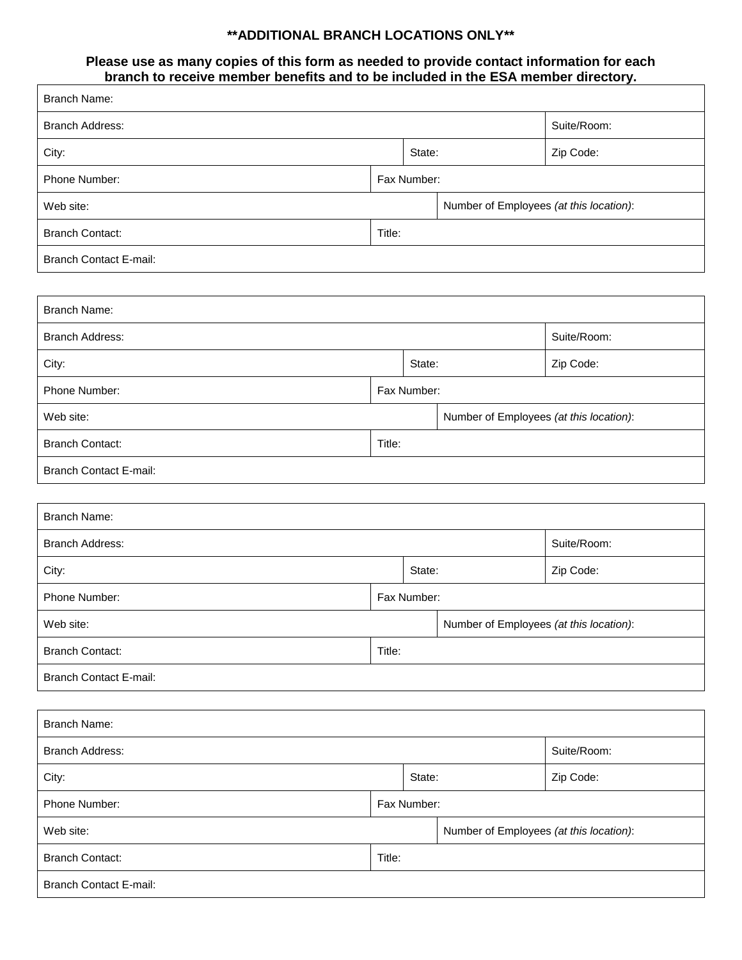## **\*\*ADDITIONAL BRANCH LOCATIONS ONLY\*\***

### **Please use as many copies of this form as needed to provide contact information for each branch to receive member benefits and to be included in the ESA member directory.**

| <b>Branch Name:</b>           |             |                                         |                                         |                                         |  |  |  |
|-------------------------------|-------------|-----------------------------------------|-----------------------------------------|-----------------------------------------|--|--|--|
| <b>Branch Address:</b>        |             |                                         |                                         | Suite/Room:                             |  |  |  |
| City:                         |             | State:                                  |                                         | Zip Code:                               |  |  |  |
| Phone Number:                 | Fax Number: |                                         |                                         |                                         |  |  |  |
| Web site:                     |             | Number of Employees (at this location): |                                         |                                         |  |  |  |
| <b>Branch Contact:</b>        | Title:      |                                         |                                         |                                         |  |  |  |
| <b>Branch Contact E-mail:</b> |             |                                         |                                         |                                         |  |  |  |
|                               |             |                                         |                                         |                                         |  |  |  |
| <b>Branch Name:</b>           |             |                                         |                                         |                                         |  |  |  |
| <b>Branch Address:</b>        |             |                                         |                                         | Suite/Room:                             |  |  |  |
| City:                         | State:      |                                         |                                         | Zip Code:                               |  |  |  |
| Phone Number:                 | Fax Number: |                                         |                                         |                                         |  |  |  |
| Web site:                     |             |                                         | Number of Employees (at this location): |                                         |  |  |  |
| <b>Branch Contact:</b>        | Title:      |                                         |                                         |                                         |  |  |  |
| <b>Branch Contact E-mail:</b> |             |                                         |                                         |                                         |  |  |  |
|                               |             |                                         |                                         |                                         |  |  |  |
| <b>Branch Name:</b>           |             |                                         |                                         |                                         |  |  |  |
| <b>Branch Address:</b>        |             |                                         |                                         | Suite/Room:                             |  |  |  |
| City:                         | State:      |                                         |                                         | Zip Code:                               |  |  |  |
| Phone Number:                 | Fax Number: |                                         |                                         |                                         |  |  |  |
| Web site:                     |             |                                         |                                         | Number of Employees (at this location): |  |  |  |
| <b>Branch Contact:</b>        | Title:      |                                         |                                         |                                         |  |  |  |
| <b>Branch Contact E-mail:</b> |             |                                         |                                         |                                         |  |  |  |
|                               |             |                                         |                                         |                                         |  |  |  |
| <b>Branch Name:</b>           |             |                                         |                                         |                                         |  |  |  |
| <b>Branch Address:</b>        |             |                                         |                                         | Suite/Room:                             |  |  |  |
| City:                         |             | State:                                  |                                         | Zip Code:                               |  |  |  |
| Phone Number:                 | Fax Number: |                                         |                                         |                                         |  |  |  |
| Web site:                     |             |                                         | Number of Employees (at this location): |                                         |  |  |  |
| <b>Branch Contact:</b>        | Title:      |                                         |                                         |                                         |  |  |  |
| <b>Branch Contact E-mail:</b> |             |                                         |                                         |                                         |  |  |  |